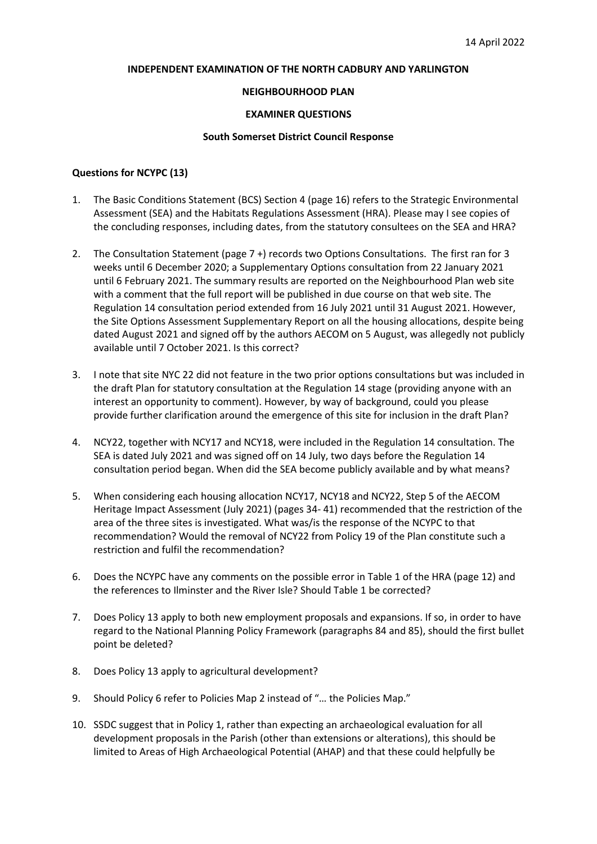# **INDEPENDENT EXAMINATION OF THE NORTH CADBURY AND YARLINGTON**

# **NEIGHBOURHOOD PLAN**

# **EXAMINER QUESTIONS**

### **South Somerset District Council Response**

# **Questions for NCYPC (13)**

- 1. The Basic Conditions Statement (BCS) Section 4 (page 16) refers to the Strategic Environmental Assessment (SEA) and the Habitats Regulations Assessment (HRA). Please may I see copies of the concluding responses, including dates, from the statutory consultees on the SEA and HRA?
- 2. The Consultation Statement (page 7 +) records two Options Consultations. The first ran for 3 weeks until 6 December 2020; a Supplementary Options consultation from 22 January 2021 until 6 February 2021. The summary results are reported on the Neighbourhood Plan web site with a comment that the full report will be published in due course on that web site. The Regulation 14 consultation period extended from 16 July 2021 until 31 August 2021. However, the Site Options Assessment Supplementary Report on all the housing allocations, despite being dated August 2021 and signed off by the authors AECOM on 5 August, was allegedly not publicly available until 7 October 2021. Is this correct?
- 3. I note that site NYC 22 did not feature in the two prior options consultations but was included in the draft Plan for statutory consultation at the Regulation 14 stage (providing anyone with an interest an opportunity to comment). However, by way of background, could you please provide further clarification around the emergence of this site for inclusion in the draft Plan?
- 4. NCY22, together with NCY17 and NCY18, were included in the Regulation 14 consultation. The SEA is dated July 2021 and was signed off on 14 July, two days before the Regulation 14 consultation period began. When did the SEA become publicly available and by what means?
- 5. When considering each housing allocation NCY17, NCY18 and NCY22, Step 5 of the AECOM Heritage Impact Assessment (July 2021) (pages 34- 41) recommended that the restriction of the area of the three sites is investigated. What was/is the response of the NCYPC to that recommendation? Would the removal of NCY22 from Policy 19 of the Plan constitute such a restriction and fulfil the recommendation?
- 6. Does the NCYPC have any comments on the possible error in Table 1 of the HRA (page 12) and the references to Ilminster and the River Isle? Should Table 1 be corrected?
- 7. Does Policy 13 apply to both new employment proposals and expansions. If so, in order to have regard to the National Planning Policy Framework (paragraphs 84 and 85), should the first bullet point be deleted?
- 8. Does Policy 13 apply to agricultural development?
- 9. Should Policy 6 refer to Policies Map 2 instead of "... the Policies Map."
- 10. SSDC suggest that in Policy 1, rather than expecting an archaeological evaluation for all development proposals in the Parish (other than extensions or alterations), this should be limited to Areas of High Archaeological Potential (AHAP) and that these could helpfully be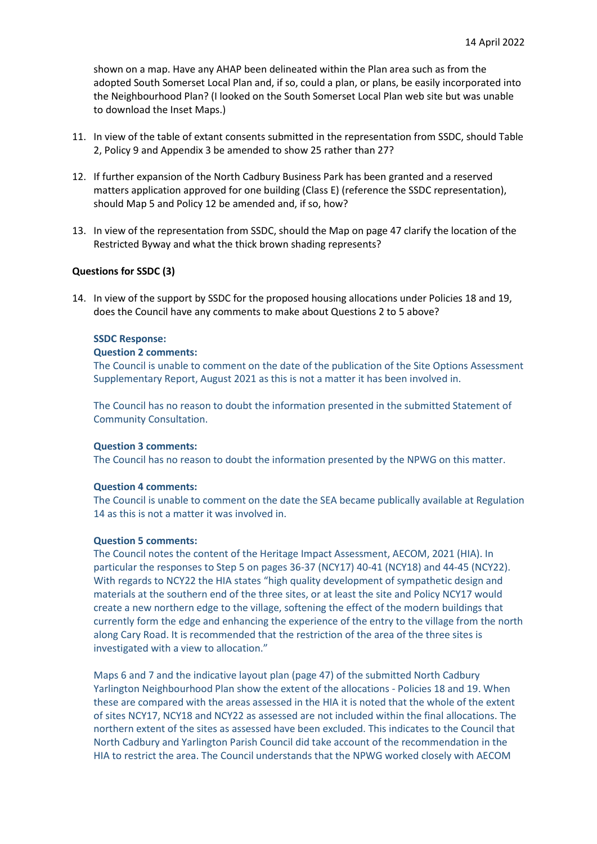shown on a map. Have any AHAP been delineated within the Plan area such as from the adopted South Somerset Local Plan and, if so, could a plan, or plans, be easily incorporated into the Neighbourhood Plan? (I looked on the South Somerset Local Plan web site but was unable to download the Inset Maps.)

- 11. In view of the table of extant consents submitted in the representation from SSDC, should Table 2, Policy 9 and Appendix 3 be amended to show 25 rather than 27?
- 12. If further expansion of the North Cadbury Business Park has been granted and a reserved matters application approved for one building (Class E) (reference the SSDC representation), should Map 5 and Policy 12 be amended and, if so, how?
- 13. In view of the representation from SSDC, should the Map on page 47 clarify the location of the Restricted Byway and what the thick brown shading represents?

# **Questions for SSDC (3)**

14. In view of the support by SSDC for the proposed housing allocations under Policies 18 and 19, does the Council have any comments to make about Questions 2 to 5 above?

# **SSDC Response:**

#### **Question 2 comments:**

The Council is unable to comment on the date of the publication of the Site Options Assessment Supplementary Report, August 2021 as this is not a matter it has been involved in.

The Council has no reason to doubt the information presented in the submitted Statement of Community Consultation.

#### **Question 3 comments:**

The Council has no reason to doubt the information presented by the NPWG on this matter.

### **Question 4 comments:**

The Council is unable to comment on the date the SEA became publically available at Regulation 14 as this is not a matter it was involved in.

# **Question 5 comments:**

The Council notes the content of the Heritage Impact Assessment, AECOM, 2021 (HIA). In particular the responses to Step 5 on pages 36-37 (NCY17) 40-41 (NCY18) and 44-45 (NCY22). With regards to NCY22 the HIA states "high quality development of sympathetic design and materials at the southern end of the three sites, or at least the site and Policy NCY17 would create a new northern edge to the village, softening the effect of the modern buildings that currently form the edge and enhancing the experience of the entry to the village from the north along Cary Road. It is recommended that the restriction of the area of the three sites is investigated with a view to allocation."

Maps 6 and 7 and the indicative layout plan (page 47) of the submitted North Cadbury Yarlington Neighbourhood Plan show the extent of the allocations - Policies 18 and 19. When these are compared with the areas assessed in the HIA it is noted that the whole of the extent of sites NCY17, NCY18 and NCY22 as assessed are not included within the final allocations. The northern extent of the sites as assessed have been excluded. This indicates to the Council that North Cadbury and Yarlington Parish Council did take account of the recommendation in the HIA to restrict the area. The Council understands that the NPWG worked closely with AECOM